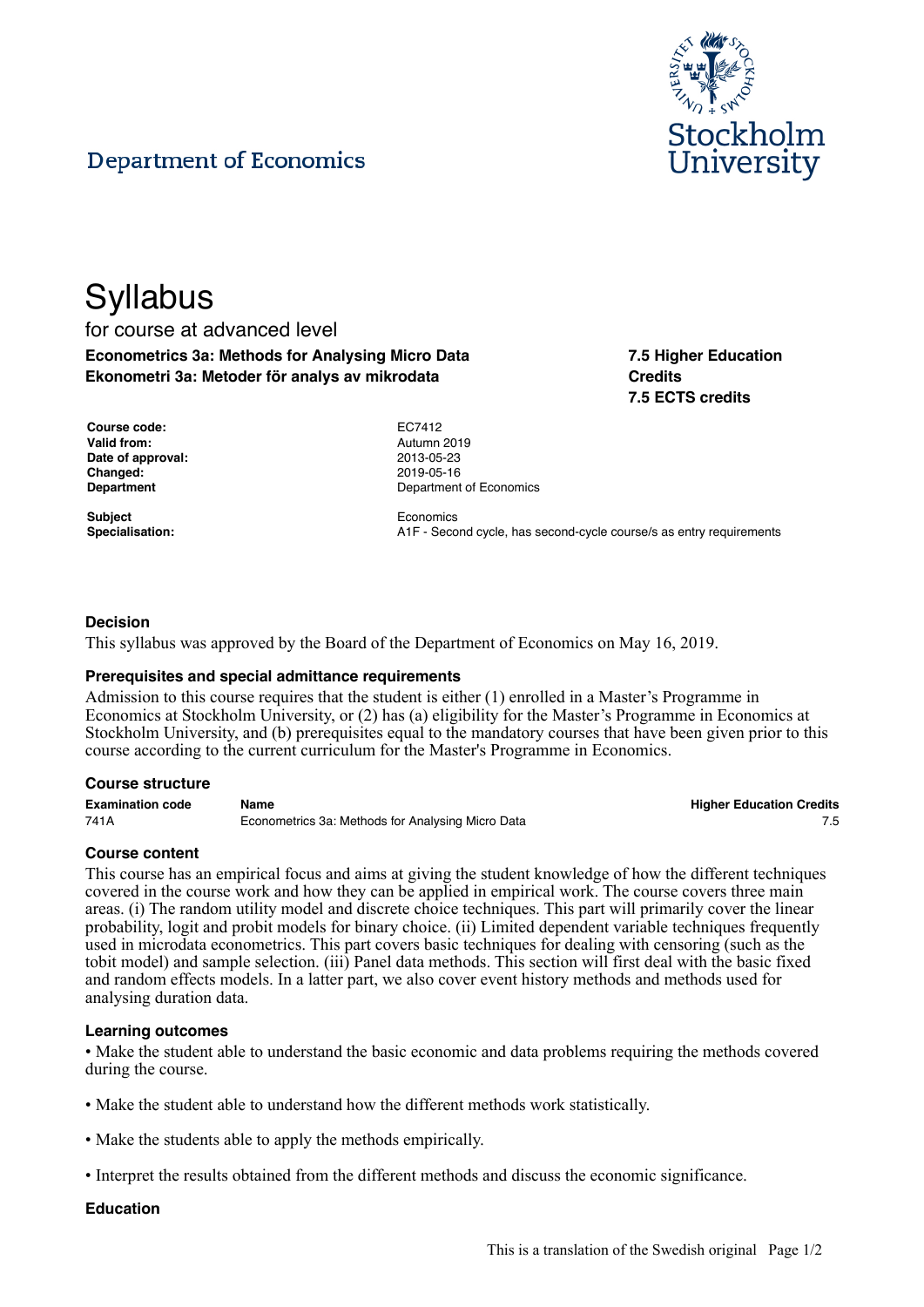

# **Department of Economics**

# **Syllabus** for course at advanced level **Econometrics 3a: Methods for Analysing Micro Data Ekonometri 3a: Metoder för analys av mikrodata**

**7.5 Higher Education Credits 7.5 ECTS credits**

| Course code:       | EC7412  |
|--------------------|---------|
| <b>Valid from:</b> | Autumn  |
| Date of approval:  | 2013-05 |
| <b>Changed:</b>    | 2019-05 |
| <b>Department</b>  | Departm |

**Subject** Economics

**Valid from:** Autumn 2019 **Date of approval:** 2013-05-23 **Changed:** 2019-05-16 **Department of Economics** 

**Specialisation:** A1F - Second cycle, has second-cycle course/s as entry requirements

#### **Decision**

This syllabus was approved by the Board of the Department of Economics on May 16, 2019.

#### **Prerequisites and special admittance requirements**

Admission to this course requires that the student is either (1) enrolled in a Master's Programme in Economics at Stockholm University, or (2) has (a) eligibility for the Master's Programme in Economics at Stockholm University, and (b) prerequisites equal to the mandatory courses that have been given prior to this course according to the current curriculum for the Master's Programme in Economics.

#### **Course structure**

| <b>Examination code</b> | Name                                              | <b>Higher Education Credits</b> |
|-------------------------|---------------------------------------------------|---------------------------------|
| 741A                    | Econometrics 3a: Methods for Analysing Micro Data |                                 |

#### **Course content**

This course has an empirical focus and aims at giving the student knowledge of how the different techniques covered in the course work and how they can be applied in empirical work. The course covers three main areas. (i) The random utility model and discrete choice techniques. This part will primarily cover the linear probability, logit and probit models for binary choice. (ii) Limited dependent variable techniques frequently used in microdata econometrics. This part covers basic techniques for dealing with censoring (such as the tobit model) and sample selection. (iii) Panel data methods. This section will first deal with the basic fixed and random effects models. In a latter part, we also cover event history methods and methods used for analysing duration data.

#### **Learning outcomes**

• Make the student able to understand the basic economic and data problems requiring the methods covered during the course.

- Make the student able to understand how the different methods work statistically.
- Make the students able to apply the methods empirically.
- Interpret the results obtained from the different methods and discuss the economic significance.

#### **Education**